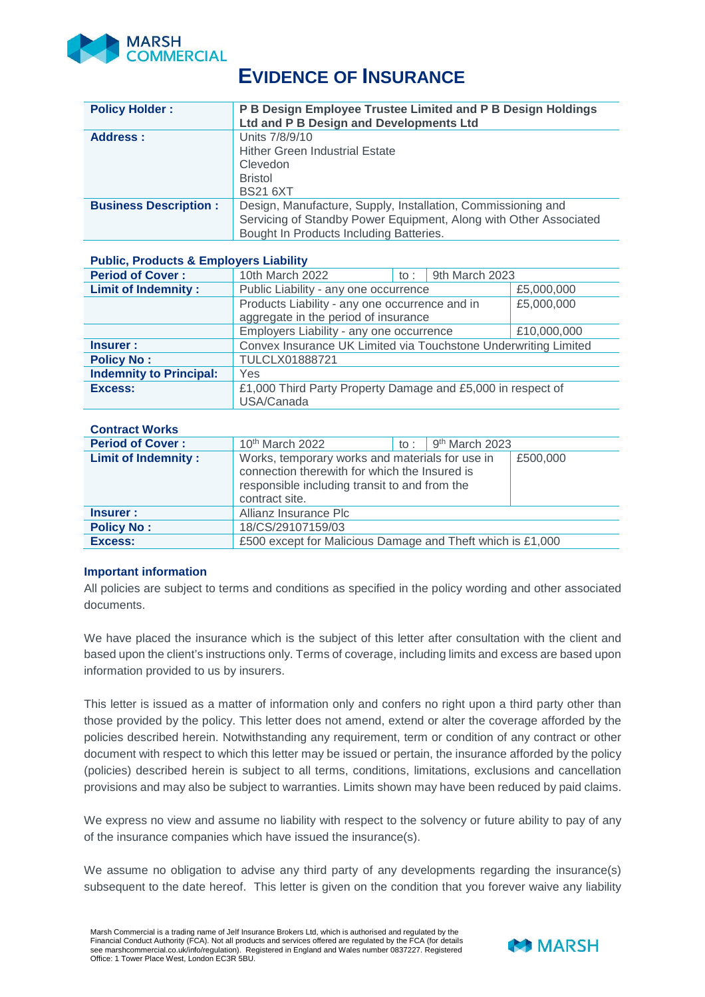

## **EVIDENCE OF INSURANCE**

| <b>Policy Holder:</b>        | P B Design Employee Trustee Limited and P B Design Holdings       |  |  |  |  |
|------------------------------|-------------------------------------------------------------------|--|--|--|--|
|                              | Ltd and P B Design and Developments Ltd                           |  |  |  |  |
| <b>Address:</b>              | Units 7/8/9/10                                                    |  |  |  |  |
|                              | <b>Hither Green Industrial Estate</b>                             |  |  |  |  |
|                              | Clevedon                                                          |  |  |  |  |
|                              | <b>Bristol</b>                                                    |  |  |  |  |
|                              | <b>BS21 6XT</b>                                                   |  |  |  |  |
| <b>Business Description:</b> | Design, Manufacture, Supply, Installation, Commissioning and      |  |  |  |  |
|                              | Servicing of Standby Power Equipment, Along with Other Associated |  |  |  |  |
|                              | Bought In Products Including Batteries.                           |  |  |  |  |

## **Public, Products & Employers Liability**

| <b>Period of Cover:</b>        | 10th March 2022                                                 | to : | 9th March 2023 |             |  |
|--------------------------------|-----------------------------------------------------------------|------|----------------|-------------|--|
| <b>Limit of Indemnity:</b>     | Public Liability - any one occurrence                           |      |                | £5,000,000  |  |
|                                | Products Liability - any one occurrence and in                  |      |                | £5,000,000  |  |
|                                | aggregate in the period of insurance                            |      |                |             |  |
|                                | Employers Liability - any one occurrence                        |      |                | £10,000,000 |  |
| Insurer:                       | Convex Insurance UK Limited via Touchstone Underwriting Limited |      |                |             |  |
| <b>Policy No:</b>              | <b>TULCLX01888721</b>                                           |      |                |             |  |
| <b>Indemnity to Principal:</b> | Yes                                                             |      |                |             |  |
| <b>Excess:</b>                 | £1,000 Third Party Property Damage and £5,000 in respect of     |      |                |             |  |
|                                | USA/Canada                                                      |      |                |             |  |

## **Contract Works**

| <b>Period of Cover:</b>    | 10 <sup>th</sup> March 2022                                                                                                                                         | to : | $9th$ March 2023 |          |
|----------------------------|---------------------------------------------------------------------------------------------------------------------------------------------------------------------|------|------------------|----------|
| <b>Limit of Indemnity:</b> | Works, temporary works and materials for use in<br>connection therewith for which the Insured is<br>responsible including transit to and from the<br>contract site. |      |                  | £500,000 |
| <b>Insurer:</b>            | Allianz Insurance Plc                                                                                                                                               |      |                  |          |
| <b>Policy No:</b>          | 18/CS/29107159/03                                                                                                                                                   |      |                  |          |
| Excess:                    | £500 except for Malicious Damage and Theft which is £1,000                                                                                                          |      |                  |          |

## **Important information**

All policies are subject to terms and conditions as specified in the policy wording and other associated documents.

We have placed the insurance which is the subject of this letter after consultation with the client and based upon the client's instructions only. Terms of coverage, including limits and excess are based upon information provided to us by insurers.

This letter is issued as a matter of information only and confers no right upon a third party other than those provided by the policy. This letter does not amend, extend or alter the coverage afforded by the policies described herein. Notwithstanding any requirement, term or condition of any contract or other document with respect to which this letter may be issued or pertain, the insurance afforded by the policy (policies) described herein is subject to all terms, conditions, limitations, exclusions and cancellation provisions and may also be subject to warranties. Limits shown may have been reduced by paid claims.

We express no view and assume no liability with respect to the solvency or future ability to pay of any of the insurance companies which have issued the insurance(s).

We assume no obligation to advise any third party of any developments regarding the insurance(s) subsequent to the date hereof. This letter is given on the condition that you forever waive any liability